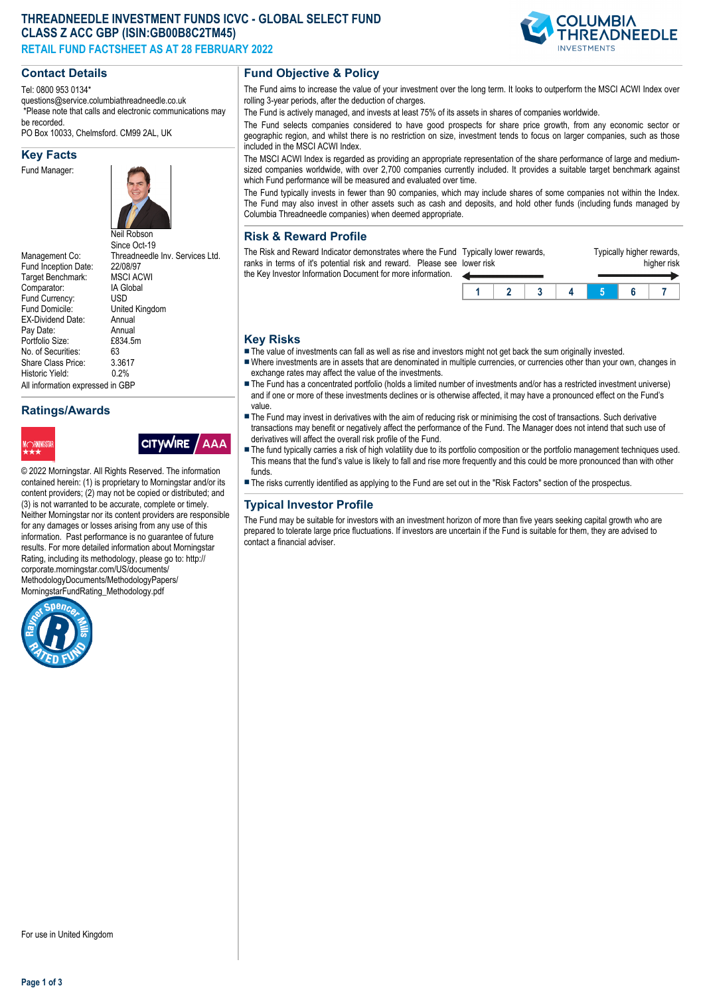# **THREADNEEDLE INVESTMENT FUNDS ICVC - GLOBAL SELECT FUND CLASS Z ACC GBP (ISIN:GB00B8C2TM45) RETAIL FUND FACTSHEET AS AT 28 FEBRUARY 2022**

#### **Contact Details**

Tel: 0800 953 0134\*

questions@service.columbiathreadneedle.co.uk \*Please note that calls and electronic communications may be recorded.

PO Box 10033, Chelmsford. CM99 2AL, UK

#### **Key Facts**

Fund Manager:



Fund Inception Date: 22/08/97<br>Target Benchmark: MSCI ACWI Target Benchmark: Comparator: IA Global<br>Fund Currency: ISD Fund Currency:<br>Fund Domicile: EX-Dividend Date: Annual<br>Pay Date: Annual Pay Date: Annual<br>Portfolio Size: £834.5m Portfolio Size: £8<br>No. of Securities: 63 No. of Securities: 63<br>Share Class Price: 3.3617 Share Class Price: 3.361<br>Historic Vield: 0.2% Historic Yield: All information expressed in GBP

Neil Robson Since Oct-19 Management Co: Threadneedle Inv. Services Ltd.<br>Fund Inception Date: 22/08/97 United Kingdom<br>Annual

# **Ratings/Awards**





© 2022 Morningstar. All Rights Reserved. The information contained herein: (1) is proprietary to Morningstar and/or its content providers; (2) may not be copied or distributed; and (3) is not warranted to be accurate, complete or timely. Neither Morningstar nor its content providers are responsible for any damages or losses arising from any use of this information. Past performance is no guarantee of future results. For more detailed information about Morningstar Rating, including its methodology, please go to: http:// corporate.morningstar.com/US/documents/ MethodologyDocuments/MethodologyPapers/ MorningstarFundRating\_Methodology.pdf



## **Fund Objective & Policy**

The Fund aims to increase the value of your investment over the long term. It looks to outperform the MSCI ACWI Index over rolling 3-year periods, after the deduction of charges.

The Fund is actively managed, and invests at least 75% of its assets in shares of companies worldwide.

The Fund selects companies considered to have good prospects for share price growth, from any economic sector or geographic region, and whilst there is no restriction on size, investment tends to focus on larger companies, such as those included in the MSCI ACWI Index.

The MSCI ACWI Index is regarded as providing an appropriate representation of the share performance of large and mediumsized companies worldwide, with over 2,700 companies currently included. It provides a suitable target benchmark against which Fund performance will be measured and evaluated over time.

The Fund typically invests in fewer than 90 companies, which may include shares of some companies not within the Index. The Fund may also invest in other assets such as cash and deposits, and hold other funds (including funds managed by Columbia Threadneedle companies) when deemed appropriate.

## **Risk & Reward Profile**

The Risk and Reward Indicator demonstrates where the Fund Typically lower rewards, ranks in terms of it's potential risk and reward. Please see I the Key Investor Information Document for more information. lower risk

| ower risk | i ypioally lowol Towarao, |  | i ypioany mynor rowarao, | higher risk |  |
|-----------|---------------------------|--|--------------------------|-------------|--|
|           |                           |  |                          |             |  |
|           |                           |  |                          |             |  |

Typically higher rewards,

## **Key Risks**

- $\blacksquare$  The value of investments can fall as well as rise and investors might not get back the sum originally invested.
- nWhere investments are in assets that are denominated in multiple currencies, or currencies other than your own, changes in exchange rates may affect the value of the investments.
- The Fund has a concentrated portfolio (holds a limited number of investments and/or has a restricted investment universe) and if one or more of these investments declines or is otherwise affected, it may have a pronounced effect on the Fund's value.
- **n** The Fund may invest in derivatives with the aim of reducing risk or minimising the cost of transactions. Such derivative transactions may benefit or negatively affect the performance of the Fund. The Manager does not intend that such use of derivatives will affect the overall risk profile of the Fund.
- The fund typically carries a risk of high volatility due to its portfolio composition or the portfolio management techniques used. This means that the fund's value is likely to fall and rise more frequently and this could be more pronounced than with other funds.
- n The risks currently identified as applying to the Fund are set out in the "Risk Factors" section of the prospectus.

## **Typical Investor Profile**

The Fund may be suitable for investors with an investment horizon of more than five years seeking capital growth who are prepared to tolerate large price fluctuations. If investors are uncertain if the Fund is suitable for them, they are advised to contact a financial adviser.



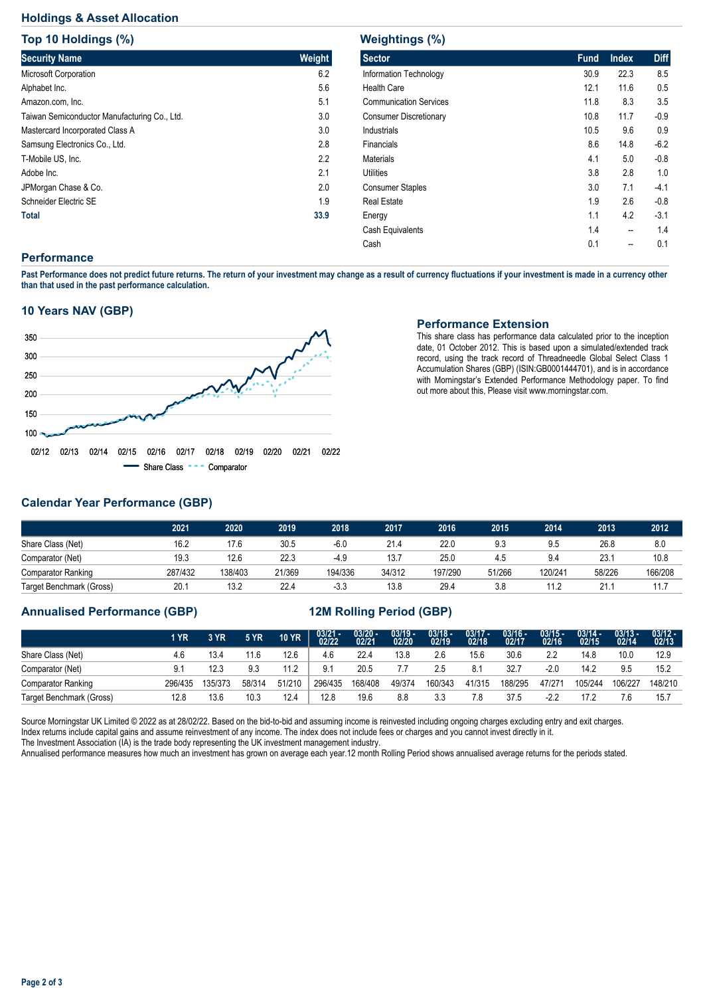# **Holdings & Asset Allocation**

**Top 10 Holdings (%)**

| <b>TOD 10 HOIGINGS (%)</b>                   |        |
|----------------------------------------------|--------|
| <b>Security Name</b>                         | Weight |
| <b>Microsoft Corporation</b>                 | 6.2    |
| Alphabet Inc.                                | 5.6    |
| Amazon.com, Inc.                             | 5.1    |
| Taiwan Semiconductor Manufacturing Co., Ltd. | 3.0    |
| Mastercard Incorporated Class A              | 3.0    |
| Samsung Electronics Co., Ltd.                | 2.8    |
| T-Mobile US, Inc.                            | 2.2    |
| Adobe Inc.                                   | 2.1    |
| JPMorgan Chase & Co.                         | 2.0    |
| Schneider Electric SE                        | 1.9    |
| <b>Total</b>                                 | 33.9   |

| <b>Weightings (%)</b>         |             |              |             |  |  |  |  |  |  |  |  |
|-------------------------------|-------------|--------------|-------------|--|--|--|--|--|--|--|--|
| <b>Sector</b>                 | <b>Fund</b> | <b>Index</b> | <b>Diff</b> |  |  |  |  |  |  |  |  |
| Information Technology        | 30.9        | 22.3         | 8.5         |  |  |  |  |  |  |  |  |
| <b>Health Care</b>            | 12.1        | 11.6         | 0.5         |  |  |  |  |  |  |  |  |
| <b>Communication Services</b> | 11.8        | 8.3          | 3.5         |  |  |  |  |  |  |  |  |
| <b>Consumer Discretionary</b> | 10.8        | 11.7         | $-0.9$      |  |  |  |  |  |  |  |  |
| Industrials                   | 10.5        | 9.6          | 0.9         |  |  |  |  |  |  |  |  |
| Financials                    | 8.6         | 14.8         | $-6.2$      |  |  |  |  |  |  |  |  |
| <b>Materials</b>              | 4.1         | 5.0          | $-0.8$      |  |  |  |  |  |  |  |  |
| Utilities                     | 3.8         | 2.8          | 1.0         |  |  |  |  |  |  |  |  |
| <b>Consumer Staples</b>       | 3.0         | 7.1          | $-4.1$      |  |  |  |  |  |  |  |  |
| <b>Real Estate</b>            | 1.9         | 2.6          | $-0.8$      |  |  |  |  |  |  |  |  |
| Energy                        | 1.1         | 4.2          | $-3.1$      |  |  |  |  |  |  |  |  |
| Cash Equivalents              | 1.4         | --           | 1.4         |  |  |  |  |  |  |  |  |
| Cash                          | 0.1         |              | 0.1         |  |  |  |  |  |  |  |  |

## **Performance**

**Past Performance does not predict future returns. The return of your investment may change as a result of currency fluctuations if your investment is made in a currency other than that used in the past performance calculation.** 

## **10 Years NAV (GBP)**



#### **Performance Extension**

This share class has performance data calculated prior to the inception date, 01 October 2012. This is based upon a simulated/extended track record, using the track record of Threadneedle Global Select Class 1 Accumulation Shares (GBP) (ISIN:GB0001444701), and is in accordance with Morningstar's Extended Performance Methodology paper. To find out more about this, Please visit www.morningstar.com.

# **Calendar Year Performance (GBP)**

|                           | 2021    | 2020    | 2019   | 2018    | 2017   | 2016    | 2015   | 2014    | 2013   | 2012    |
|---------------------------|---------|---------|--------|---------|--------|---------|--------|---------|--------|---------|
| Share Class (Net)         | 16.2    | 17.6    | 30.5   | $-6.0$  | 21.4   | 22.0    | 9.3    | 9.5     | 26.8   | 8.0     |
| Comparator (Net)          | 19.3    | 12.6    | 22.3   | $-4.9$  | 13.7   | 25.0    | 4.5    | 9.4     | 23.7   | 10.8    |
| <b>Comparator Ranking</b> | 287/432 | 138/403 | 21/369 | 194/336 | 34/312 | 197/290 | 51/266 | 120/241 | 58/226 | 166/208 |
| Target Benchmark (Gross)  | 20.1    | 13.2    | 22.4   | $-3.3$  | 13.8   | 29.4    | 3.8    | 11.2    | 21.    | 11.7    |

## **Annualised Performance (GBP) 12M Rolling Period (GBP)**

|                           | 1 YR    | 3 YR    | <b>5 YR</b> | <b>10 YR</b> | $\frac{03/21 - 03/22}{02/22}$ | $\frac{03/20 - 0.21}{02/21}$ | $\frac{03/19 - 03/20}{02/20}$ | $\frac{03/18 - 02}{19}$ | $\frac{03/17 - 02}{18}$ | 03/16 -<br>02/17 | $03/15 -$<br>02/16 | $03/14 -$<br>02/15 | $03/13 -$<br>02/14 | $\frac{03/12 - 02}{02/13}$ |
|---------------------------|---------|---------|-------------|--------------|-------------------------------|------------------------------|-------------------------------|-------------------------|-------------------------|------------------|--------------------|--------------------|--------------------|----------------------------|
| Share Class (Net)         | 4.6     | 13.4    | 11.6        | 12.6         | 4.6                           | 22.4                         | 13.8                          | 2.6                     | 15.6                    | 30.6             | 2.2                | 14.8               | 10.0               | 12.9                       |
| Comparator (Net)          | 9.1     | 12.3    | 9.3         | 11.2         | 9.1                           | 20.5                         |                               | 2.5                     | 8.1                     | 32.7             | $-2.0$             | 14.2               | 9.5                | 15.2                       |
| <b>Comparator Ranking</b> | 296/435 | 135/373 | 58/314      | 51/210       | 296/435                       | 168/408                      | 49/374                        | 160/343                 | 41/315                  | 188/295          | 47/271             | 105/244            | 106/227            | 148/210                    |
| Target Benchmark (Gross)  | 12.8    | 13.6    | 10.3        | 12.4         | 12.8                          | 19.6                         | 8.8                           | 3.3                     |                         | 37.5             | $-2.2$             | 17.2               | 7.6                | 15.7                       |

Source Morningstar UK Limited © 2022 as at 28/02/22. Based on the bid-to-bid and assuming income is reinvested including ongoing charges excluding entry and exit charges. Index returns include capital gains and assume reinvestment of any income. The index does not include fees or charges and you cannot invest directly in it. The Investment Association (IA) is the trade body representing the UK investment management industry.

Annualised performance measures how much an investment has grown on average each year.12 month Rolling Period shows annualised average returns for the periods stated.